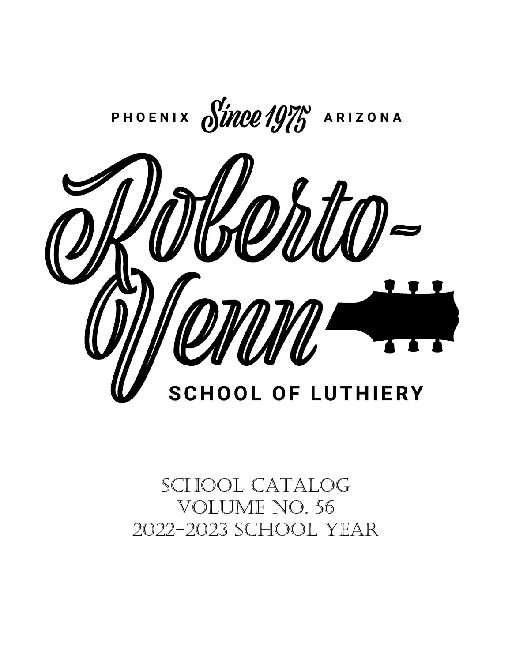

# SCHOOL CATALOG VoLume No. 56 2022-2023 School Year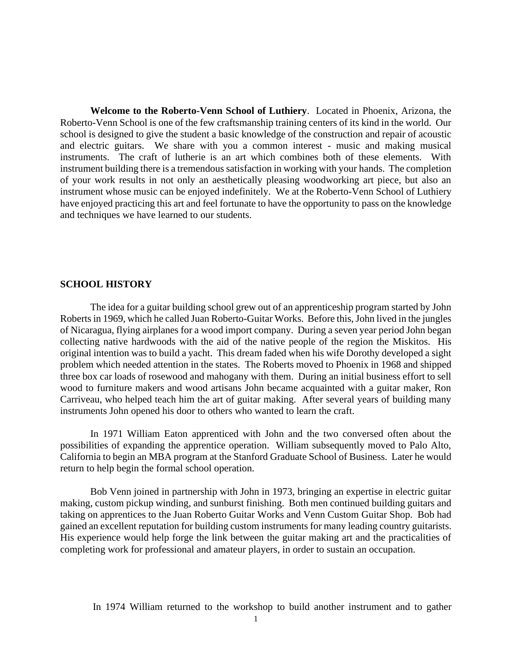**Welcome to the Roberto-Venn School of Luthiery**. Located in Phoenix, Arizona, the Roberto-Venn School is one of the few craftsmanship training centers of its kind in the world. Our school is designed to give the student a basic knowledge of the construction and repair of acoustic and electric guitars. We share with you a common interest - music and making musical instruments. The craft of lutherie is an art which combines both of these elements. With instrument building there is a tremendous satisfaction in working with your hands. The completion of your work results in not only an aesthetically pleasing woodworking art piece, but also an instrument whose music can be enjoyed indefinitely. We at the Roberto-Venn School of Luthiery have enjoyed practicing this art and feel fortunate to have the opportunity to pass on the knowledge and techniques we have learned to our students.

#### **SCHOOL HISTORY**

The idea for a guitar building school grew out of an apprenticeship program started by John Roberts in 1969, which he called Juan Roberto-Guitar Works. Before this, John lived in the jungles of Nicaragua, flying airplanes for a wood import company. During a seven year period John began collecting native hardwoods with the aid of the native people of the region the Miskitos. His original intention was to build a yacht. This dream faded when his wife Dorothy developed a sight problem which needed attention in the states. The Roberts moved to Phoenix in 1968 and shipped three box car loads of rosewood and mahogany with them. During an initial business effort to sell wood to furniture makers and wood artisans John became acquainted with a guitar maker, Ron Carriveau, who helped teach him the art of guitar making. After several years of building many instruments John opened his door to others who wanted to learn the craft.

In 1971 William Eaton apprenticed with John and the two conversed often about the possibilities of expanding the apprentice operation. William subsequently moved to Palo Alto, California to begin an MBA program at the Stanford Graduate School of Business. Later he would return to help begin the formal school operation.

Bob Venn joined in partnership with John in 1973, bringing an expertise in electric guitar making, custom pickup winding, and sunburst finishing. Both men continued building guitars and taking on apprentices to the Juan Roberto Guitar Works and Venn Custom Guitar Shop. Bob had gained an excellent reputation for building custom instruments for many leading country guitarists. His experience would help forge the link between the guitar making art and the practicalities of completing work for professional and amateur players, in order to sustain an occupation.

In 1974 William returned to the workshop to build another instrument and to gather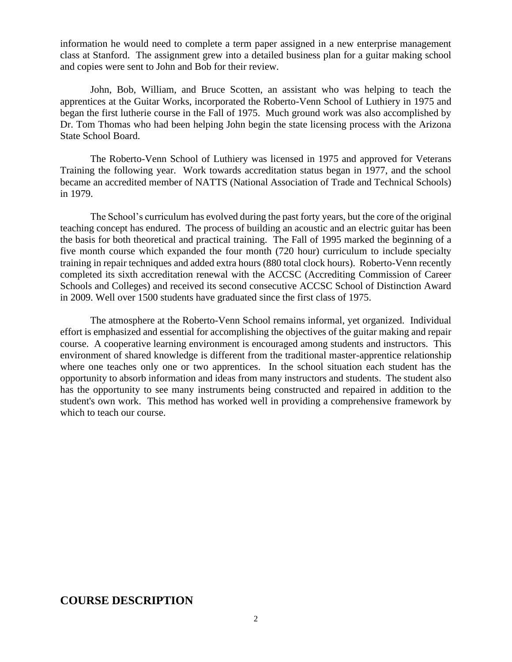information he would need to complete a term paper assigned in a new enterprise management class at Stanford. The assignment grew into a detailed business plan for a guitar making school and copies were sent to John and Bob for their review.

John, Bob, William, and Bruce Scotten, an assistant who was helping to teach the apprentices at the Guitar Works, incorporated the Roberto-Venn School of Luthiery in 1975 and began the first lutherie course in the Fall of 1975. Much ground work was also accomplished by Dr. Tom Thomas who had been helping John begin the state licensing process with the Arizona State School Board.

The Roberto-Venn School of Luthiery was licensed in 1975 and approved for Veterans Training the following year. Work towards accreditation status began in 1977, and the school became an accredited member of NATTS (National Association of Trade and Technical Schools) in 1979.

The School's curriculum has evolved during the past forty years, but the core of the original teaching concept has endured. The process of building an acoustic and an electric guitar has been the basis for both theoretical and practical training. The Fall of 1995 marked the beginning of a five month course which expanded the four month (720 hour) curriculum to include specialty training in repair techniques and added extra hours (880 total clock hours). Roberto-Venn recently completed its sixth accreditation renewal with the ACCSC (Accrediting Commission of Career Schools and Colleges) and received its second consecutive ACCSC School of Distinction Award in 2009. Well over 1500 students have graduated since the first class of 1975.

The atmosphere at the Roberto-Venn School remains informal, yet organized. Individual effort is emphasized and essential for accomplishing the objectives of the guitar making and repair course. A cooperative learning environment is encouraged among students and instructors. This environment of shared knowledge is different from the traditional master-apprentice relationship where one teaches only one or two apprentices. In the school situation each student has the opportunity to absorb information and ideas from many instructors and students. The student also has the opportunity to see many instruments being constructed and repaired in addition to the student's own work. This method has worked well in providing a comprehensive framework by which to teach our course.

#### **COURSE DESCRIPTION**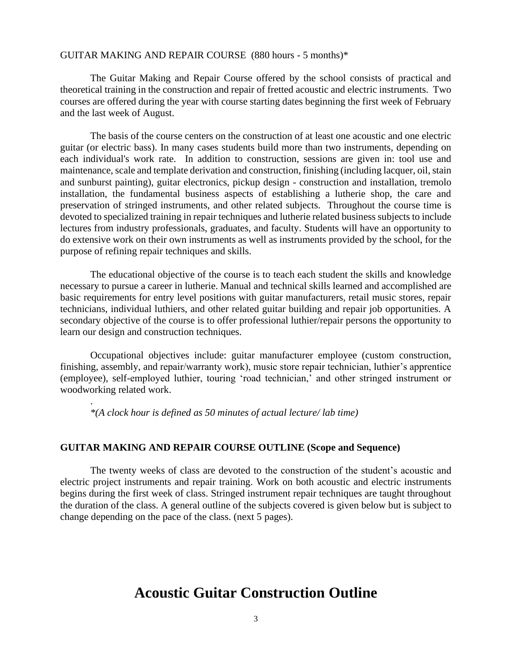#### GUITAR MAKING AND REPAIR COURSE (880 hours - 5 months)\*

The Guitar Making and Repair Course offered by the school consists of practical and theoretical training in the construction and repair of fretted acoustic and electric instruments. Two courses are offered during the year with course starting dates beginning the first week of February and the last week of August.

The basis of the course centers on the construction of at least one acoustic and one electric guitar (or electric bass). In many cases students build more than two instruments, depending on each individual's work rate. In addition to construction, sessions are given in: tool use and maintenance, scale and template derivation and construction, finishing (including lacquer, oil, stain and sunburst painting), guitar electronics, pickup design - construction and installation, tremolo installation, the fundamental business aspects of establishing a lutherie shop, the care and preservation of stringed instruments, and other related subjects. Throughout the course time is devoted to specialized training in repair techniques and lutherie related business subjects to include lectures from industry professionals, graduates, and faculty. Students will have an opportunity to do extensive work on their own instruments as well as instruments provided by the school, for the purpose of refining repair techniques and skills.

The educational objective of the course is to teach each student the skills and knowledge necessary to pursue a career in lutherie. Manual and technical skills learned and accomplished are basic requirements for entry level positions with guitar manufacturers, retail music stores, repair technicians, individual luthiers, and other related guitar building and repair job opportunities. A secondary objective of the course is to offer professional luthier/repair persons the opportunity to learn our design and construction techniques.

Occupational objectives include: guitar manufacturer employee (custom construction, finishing, assembly, and repair/warranty work), music store repair technician, luthier's apprentice (employee), self-employed luthier, touring 'road technician,' and other stringed instrument or woodworking related work.

*\*(A clock hour is defined as 50 minutes of actual lecture/ lab time)*

.

#### **GUITAR MAKING AND REPAIR COURSE OUTLINE (Scope and Sequence)**

The twenty weeks of class are devoted to the construction of the student's acoustic and electric project instruments and repair training. Work on both acoustic and electric instruments begins during the first week of class. Stringed instrument repair techniques are taught throughout the duration of the class. A general outline of the subjects covered is given below but is subject to change depending on the pace of the class. (next 5 pages).

# **Acoustic Guitar Construction Outline**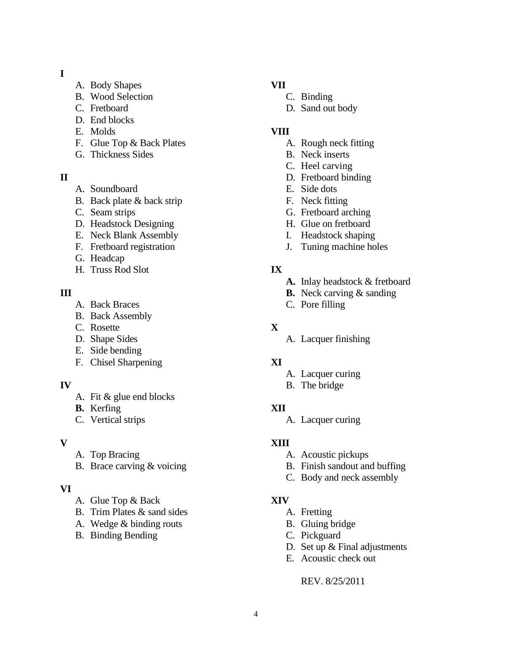#### **I**

- A. Body Shapes
- B. Wood Selection
- C. Fretboard
- D. End blocks
- E. Molds
- F. Glue Top & Back Plates
- G. Thickness Sides

#### **II**

- A. Soundboard
- B. Back plate & back strip
- C. Seam strips
- D. Headstock Designing
- E. Neck Blank Assembly
- F. Fretboard registration
- G. Headcap
- H. Truss Rod Slot

#### **III**

- A. Back Braces
- B. Back Assembly
- C. Rosette
- D. Shape Sides
- E. Side bending
- F. Chisel Sharpening

# **IV**

- A. Fit & glue end blocks
- **B.** Kerfing
- C. Vertical strips

#### **V**

- A. Top Bracing
- B. Brace carving & voicing

# **VI**

- A. Glue Top & Back
- B. Trim Plates & sand sides
- A. Wedge & binding routs
- B. Binding Bending

# **VII**

- C. Binding
- D. Sand out body

# **VIII**

- A. Rough neck fitting
- B. Neck inserts
- C. Heel carving
- D. Fretboard binding
- E. Side dots
- F. Neck fitting
- G. Fretboard arching
- H. Glue on fretboard
- I. Headstock shaping
- J. Tuning machine holes

# **IX**

- **A.** Inlay headstock & fretboard
- **B.** Neck carving & sanding
- C. Pore filling

# **X**

A. Lacquer finishing

# **XI**

- A. Lacquer curing
- B. The bridge

# **XII**

A. Lacquer curing

# **XIII**

- A. Acoustic pickups
- B. Finish sandout and buffing
- C. Body and neck assembly

# **XIV**

- A. Fretting
- B. Gluing bridge
- C. Pickguard
- D. Set up & Final adjustments
- E. Acoustic check out

# REV. 8/25/2011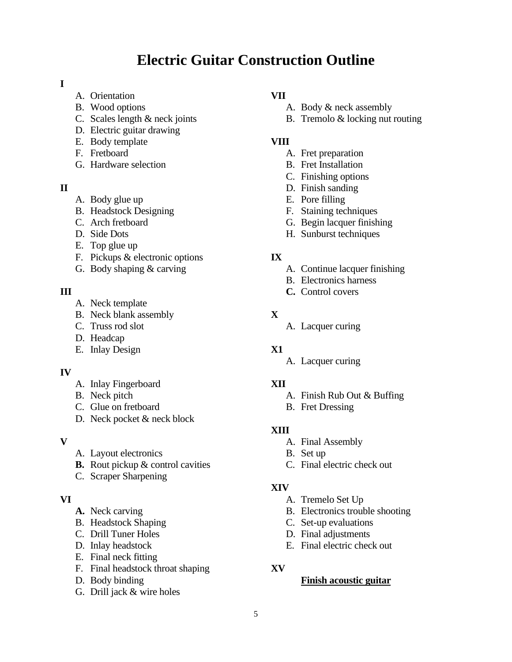# **Electric Guitar Construction Outline**

#### **I**

- A. Orientation
- B. Wood options
- C. Scales length & neck joints
- D. Electric guitar drawing
- E. Body template
- F. Fretboard
- G. Hardware selection

#### **II**

- A. Body glue up
- B. Headstock Designing
- C. Arch fretboard
- D. Side Dots
- E. Top glue up
- F. Pickups & electronic options
- G. Body shaping & carving

#### **III**

- A. Neck template
- B. Neck blank assembly
- C. Truss rod slot
- D. Headcap
- E. Inlay Design

#### **IV**

- A. Inlay Fingerboard
- B. Neck pitch
- C. Glue on fretboard
- D. Neck pocket & neck block

#### **V**

- A. Layout electronics
- **B.** Rout pickup & control cavities
- C. Scraper Sharpening

#### **VI**

- **A.** Neck carving
- B. Headstock Shaping
- C. Drill Tuner Holes
- D. Inlay headstock
- E. Final neck fitting
- F. Final headstock throat shaping
- D. Body binding
- G. Drill jack & wire holes

#### **VII**

- A. Body & neck assembly
- B. Tremolo & locking nut routing

#### **VIII**

- A. Fret preparation
- B. Fret Installation
- C. Finishing options
- D. Finish sanding
- E. Pore filling
- F. Staining techniques
- G. Begin lacquer finishing
- H. Sunburst techniques

#### **IX**

- A. Continue lacquer finishing
- B. Electronics harness
- **C.** Control covers

#### **X**

A. Lacquer curing

#### **X1**

A. Lacquer curing

#### **XII**

- A. Finish Rub Out & Buffing
- B. Fret Dressing

#### **XIII**

- A. Final Assembly
- B. Set up
- C. Final electric check out

#### **XIV**

- A. Tremelo Set Up
- B. Electronics trouble shooting
- C. Set-up evaluations
- D. Final adjustments
- E. Final electric check out

#### **XV**

#### **Finish acoustic guitar**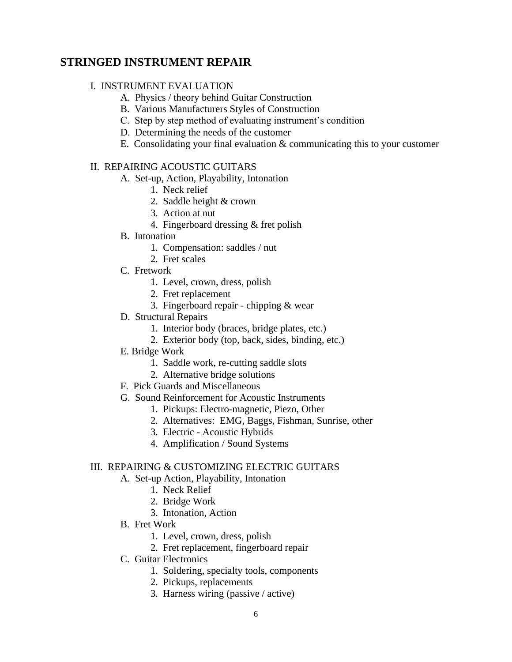# **STRINGED INSTRUMENT REPAIR**

#### I. INSTRUMENT EVALUATION

- A. Physics / theory behind Guitar Construction
- B. Various Manufacturers Styles of Construction
- C. Step by step method of evaluating instrument's condition
- D. Determining the needs of the customer
- E. Consolidating your final evaluation & communicating this to your customer

#### II. REPAIRING ACOUSTIC GUITARS

- A. Set-up, Action, Playability, Intonation
	- 1. Neck relief
	- 2. Saddle height & crown
	- 3. Action at nut
	- 4. Fingerboard dressing & fret polish
- B. Intonation
	- 1. Compensation: saddles / nut
	- 2. Fret scales
- C. Fretwork
	- 1. Level, crown, dress, polish
	- 2. Fret replacement
	- 3. Fingerboard repair chipping & wear
- D. Structural Repairs
	- 1. Interior body (braces, bridge plates, etc.)
	- 2. Exterior body (top, back, sides, binding, etc.)
- E. Bridge Work
	- 1. Saddle work, re-cutting saddle slots
	- 2. Alternative bridge solutions
- F. Pick Guards and Miscellaneous
- G. Sound Reinforcement for Acoustic Instruments
	- 1. Pickups: Electro-magnetic, Piezo, Other
	- 2. Alternatives: EMG, Baggs, Fishman, Sunrise, other
	- 3. Electric Acoustic Hybrids
	- 4. Amplification / Sound Systems

#### III. REPAIRING & CUSTOMIZING ELECTRIC GUITARS

- A. Set-up Action, Playability, Intonation
	- 1. Neck Relief
	- 2. Bridge Work
	- 3. Intonation, Action
- B. Fret Work
	- 1. Level, crown, dress, polish
	- 2. Fret replacement, fingerboard repair
- C. Guitar Electronics
	- 1. Soldering, specialty tools, components
	- 2. Pickups, replacements
	- 3. Harness wiring (passive / active)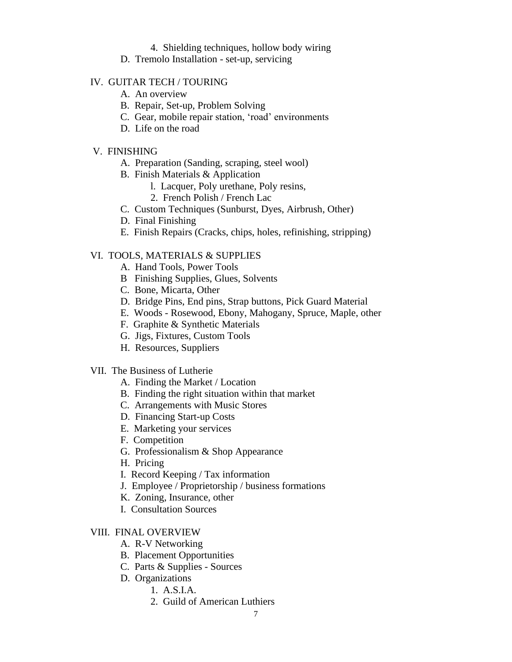- 4. Shielding techniques, hollow body wiring
- D. Tremolo Installation set-up, servicing

#### IV. GUITAR TECH / TOURING

- A. An overview
- B. Repair, Set-up, Problem Solving
- C. Gear, mobile repair station, 'road' environments
- D. Life on the road

#### V. FINISHING

- A. Preparation (Sanding, scraping, steel wool)
- B. Finish Materials & Application
	- l. Lacquer, Poly urethane, Poly resins,
	- 2. French Polish / French Lac
- C. Custom Techniques (Sunburst, Dyes, Airbrush, Other)
- D. Final Finishing
- E. Finish Repairs (Cracks, chips, holes, refinishing, stripping)

#### VI. TOOLS, MATERIALS & SUPPLIES

- A. Hand Tools, Power Tools
- B Finishing Supplies, Glues, Solvents
- C. Bone, Micarta, Other
- D. Bridge Pins, End pins, Strap buttons, Pick Guard Material
- E. Woods Rosewood, Ebony, Mahogany, Spruce, Maple, other
- F. Graphite & Synthetic Materials
- G. Jigs, Fixtures, Custom Tools
- H. Resources, Suppliers
- VII. The Business of Lutherie
	- A. Finding the Market / Location
	- B. Finding the right situation within that market
	- C. Arrangements with Music Stores
	- D. Financing Start-up Costs
	- E. Marketing your services
	- F. Competition
	- G. Professionalism & Shop Appearance
	- H. Pricing
	- I. Record Keeping / Tax information
	- J. Employee / Proprietorship / business formations
	- K. Zoning, Insurance, other
	- I. Consultation Sources

#### VIII. FINAL OVERVIEW

- A. R-V Networking
- B. Placement Opportunities
- C. Parts & Supplies Sources
- D. Organizations
	- 1. A.S.I.A.
	- 2. Guild of American Luthiers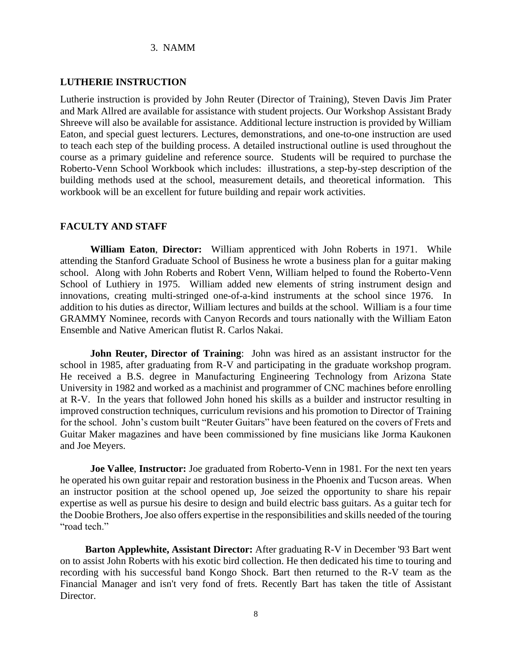#### 3. NAMM

#### **LUTHERIE INSTRUCTION**

Lutherie instruction is provided by John Reuter (Director of Training), Steven Davis Jim Prater and Mark Allred are available for assistance with student projects. Our Workshop Assistant Brady Shreeve will also be available for assistance. Additional lecture instruction is provided by William Eaton, and special guest lecturers. Lectures, demonstrations, and one-to-one instruction are used to teach each step of the building process. A detailed instructional outline is used throughout the course as a primary guideline and reference source. Students will be required to purchase the Roberto-Venn School Workbook which includes: illustrations, a step-by-step description of the building methods used at the school, measurement details, and theoretical information. This workbook will be an excellent for future building and repair work activities.

#### **FACULTY AND STAFF**

**William Eaton**, **Director:** William apprenticed with John Roberts in 1971. While attending the Stanford Graduate School of Business he wrote a business plan for a guitar making school. Along with John Roberts and Robert Venn, William helped to found the Roberto-Venn School of Luthiery in 1975. William added new elements of string instrument design and innovations, creating multi-stringed one-of-a-kind instruments at the school since 1976. In addition to his duties as director, William lectures and builds at the school. William is a four time GRAMMY Nominee, records with Canyon Records and tours nationally with the William Eaton Ensemble and Native American flutist R. Carlos Nakai.

**John Reuter, Director of Training**: John was hired as an assistant instructor for the school in 1985, after graduating from R-V and participating in the graduate workshop program. He received a B.S. degree in Manufacturing Engineering Technology from Arizona State University in 1982 and worked as a machinist and programmer of CNC machines before enrolling at R-V. In the years that followed John honed his skills as a builder and instructor resulting in improved construction techniques, curriculum revisions and his promotion to Director of Training for the school. John's custom built "Reuter Guitars" have been featured on the covers of Frets and Guitar Maker magazines and have been commissioned by fine musicians like Jorma Kaukonen and Joe Meyers.

**Joe Vallee**, **Instructor:** Joe graduated from Roberto-Venn in 1981. For the next ten years he operated his own guitar repair and restoration business in the Phoenix and Tucson areas. When an instructor position at the school opened up, Joe seized the opportunity to share his repair expertise as well as pursue his desire to design and build electric bass guitars. As a guitar tech for the Doobie Brothers, Joe also offers expertise in the responsibilities and skills needed of the touring "road tech."

 **Barton Applewhite, Assistant Director:** After graduating R-V in December '93 Bart went on to assist John Roberts with his exotic bird collection. He then dedicated his time to touring and recording with his successful band Kongo Shock. Bart then returned to the R-V team as the Financial Manager and isn't very fond of frets. Recently Bart has taken the title of Assistant Director.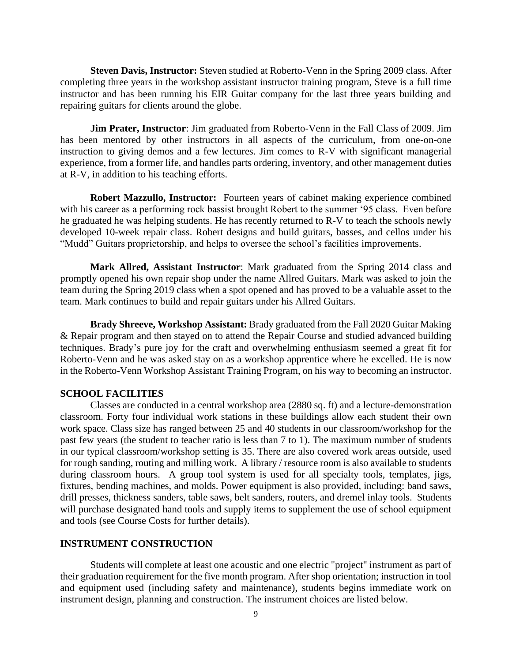**Steven Davis, Instructor:** Steven studied at Roberto-Venn in the Spring 2009 class. After completing three years in the workshop assistant instructor training program, Steve is a full time instructor and has been running his EIR Guitar company for the last three years building and repairing guitars for clients around the globe.

**Jim Prater, Instructor**: Jim graduated from Roberto-Venn in the Fall Class of 2009. Jim has been mentored by other instructors in all aspects of the curriculum, from one-on-one instruction to giving demos and a few lectures. Jim comes to R-V with significant managerial experience, from a former life, and handles parts ordering, inventory, and other management duties at R-V, in addition to his teaching efforts.

**Robert Mazzullo, Instructor:** Fourteen years of cabinet making experience combined with his career as a performing rock bassist brought Robert to the summer '95 class. Even before he graduated he was helping students. He has recently returned to R-V to teach the schools newly developed 10-week repair class. Robert designs and build guitars, basses, and cellos under his "Mudd" Guitars proprietorship, and helps to oversee the school's facilities improvements.

**Mark Allred, Assistant Instructor**: Mark graduated from the Spring 2014 class and promptly opened his own repair shop under the name Allred Guitars. Mark was asked to join the team during the Spring 2019 class when a spot opened and has proved to be a valuable asset to the team. Mark continues to build and repair guitars under his Allred Guitars.

**Brady Shreeve, Workshop Assistant:** Brady graduated from the Fall 2020 Guitar Making & Repair program and then stayed on to attend the Repair Course and studied advanced building techniques. Brady's pure joy for the craft and overwhelming enthusiasm seemed a great fit for Roberto-Venn and he was asked stay on as a workshop apprentice where he excelled. He is now in the Roberto-Venn Workshop Assistant Training Program, on his way to becoming an instructor.

#### **SCHOOL FACILITIES**

Classes are conducted in a central workshop area (2880 sq. ft) and a lecture-demonstration classroom. Forty four individual work stations in these buildings allow each student their own work space. Class size has ranged between 25 and 40 students in our classroom/workshop for the past few years (the student to teacher ratio is less than 7 to 1). The maximum number of students in our typical classroom/workshop setting is 35. There are also covered work areas outside, used for rough sanding, routing and milling work. A library / resource room is also available to students during classroom hours. A group tool system is used for all specialty tools, templates, jigs, fixtures, bending machines, and molds. Power equipment is also provided, including: band saws, drill presses, thickness sanders, table saws, belt sanders, routers, and dremel inlay tools. Students will purchase designated hand tools and supply items to supplement the use of school equipment and tools (see Course Costs for further details).

#### **INSTRUMENT CONSTRUCTION**

Students will complete at least one acoustic and one electric "project" instrument as part of their graduation requirement for the five month program. After shop orientation; instruction in tool and equipment used (including safety and maintenance), students begins immediate work on instrument design, planning and construction. The instrument choices are listed below.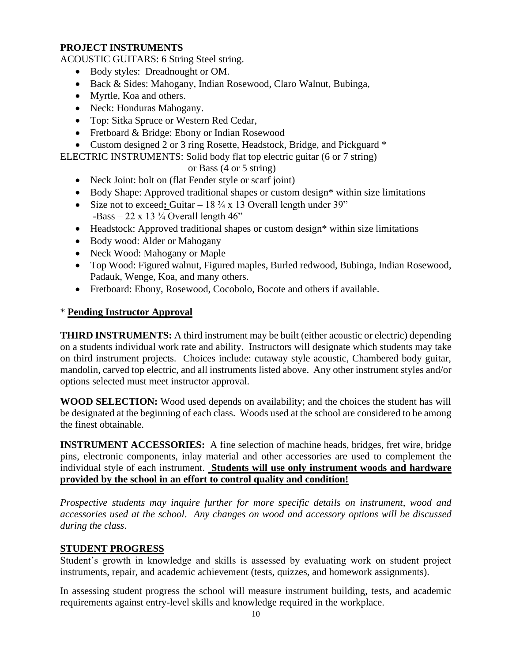#### **PROJECT INSTRUMENTS**

ACOUSTIC GUITARS: 6 String Steel string.

- Body styles: Dreadnought or OM.
- Back & Sides: Mahogany, Indian Rosewood, Claro Walnut, Bubinga,
- Myrtle, Koa and others.
- Neck: Honduras Mahogany.
- Top: Sitka Spruce or Western Red Cedar,
- Fretboard & Bridge: Ebony or Indian Rosewood
- Custom designed 2 or 3 ring Rosette, Headstock, Bridge, and Pickguard  $*$

ELECTRIC INSTRUMENTS: Solid body flat top electric guitar (6 or 7 string)

or Bass (4 or 5 string)

- Neck Joint: bolt on (flat Fender style or scarf joint)
- Body Shape: Approved traditional shapes or custom design\* within size limitations
- Size not to exceed: Guitar 18 <sup>3</sup>/<sub>4</sub> x 13 Overall length under 39" -Bass – 22 x 13 $\frac{3}{4}$  Overall length 46"
- Headstock: Approved traditional shapes or custom design\* within size limitations
- Body wood: Alder or Mahogany
- Neck Wood: Mahogany or Maple
- Top Wood: Figured walnut, Figured maples, Burled redwood, Bubinga, Indian Rosewood, Padauk, Wenge, Koa, and many others.
- Fretboard: Ebony, Rosewood, Cocobolo, Bocote and others if available.

#### \* **Pending Instructor Approval**

**THIRD INSTRUMENTS:** A third instrument may be built (either acoustic or electric) depending on a students individual work rate and ability. Instructors will designate which students may take on third instrument projects. Choices include: cutaway style acoustic, Chambered body guitar, mandolin, carved top electric, and all instruments listed above. Any other instrument styles and/or options selected must meet instructor approval.

**WOOD SELECTION:** Wood used depends on availability; and the choices the student has will be designated at the beginning of each class. Woods used at the school are considered to be among the finest obtainable.

**INSTRUMENT ACCESSORIES:** A fine selection of machine heads, bridges, fret wire, bridge pins, electronic components, inlay material and other accessories are used to complement the individual style of each instrument. **Students will use only instrument woods and hardware provided by the school in an effort to control quality and condition!**

*Prospective students may inquire further for more specific details on instrument, wood and accessories used at the school*. *Any changes on wood and accessory options will be discussed during the class*.

#### **STUDENT PROGRESS**

Student's growth in knowledge and skills is assessed by evaluating work on student project instruments, repair, and academic achievement (tests, quizzes, and homework assignments).

In assessing student progress the school will measure instrument building, tests, and academic requirements against entry-level skills and knowledge required in the workplace.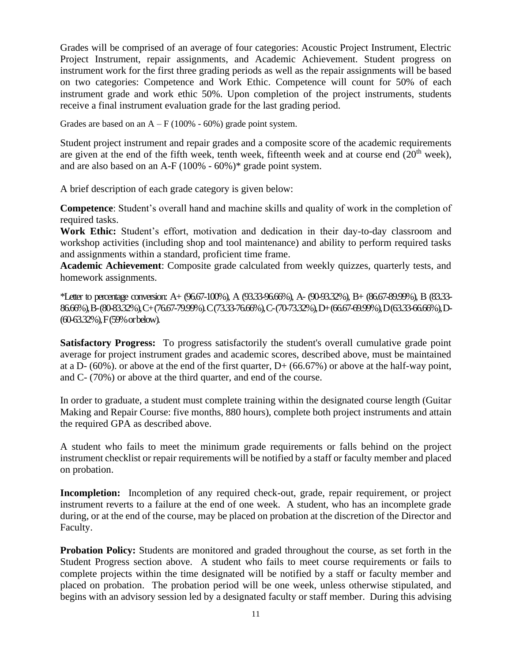Grades will be comprised of an average of four categories: Acoustic Project Instrument, Electric Project Instrument, repair assignments, and Academic Achievement. Student progress on instrument work for the first three grading periods as well as the repair assignments will be based on two categories: Competence and Work Ethic. Competence will count for 50% of each instrument grade and work ethic 50%. Upon completion of the project instruments, students receive a final instrument evaluation grade for the last grading period.

Grades are based on an  $A - F(100\% - 60\%)$  grade point system.

Student project instrument and repair grades and a composite score of the academic requirements are given at the end of the fifth week, tenth week, fifteenth week and at course end  $(20<sup>th</sup>$  week), and are also based on an A-F (100% - 60%)\* grade point system.

A brief description of each grade category is given below:

**Competence**: Student's overall hand and machine skills and quality of work in the completion of required tasks.

**Work Ethic:** Student's effort, motivation and dedication in their day-to-day classroom and workshop activities (including shop and tool maintenance) and ability to perform required tasks and assignments within a standard, proficient time frame.

**Academic Achievement**: Composite grade calculated from weekly quizzes, quarterly tests, and homework assignments.

\*Letter to percentage conversion: A+ (96.67-100%), A (93.33-96.66%), A- (90-93.32%), B+ (86.67-89.99%), B (83.33- 86.66%), B-(80-83.32%), C+(76.67-79.99%). C (73.33-76.66%), C-(70-73.32%), D+ (66.67-69.99%), D (63.33-66.66%), D- (60-63.32%), F (59% or below).

**Satisfactory Progress:** To progress satisfactorily the student's overall cumulative grade point average for project instrument grades and academic scores, described above, must be maintained at a D- (60%), or above at the end of the first quarter,  $D+$  (66.67%) or above at the half-way point, and C- (70%) or above at the third quarter, and end of the course.

In order to graduate, a student must complete training within the designated course length (Guitar Making and Repair Course: five months, 880 hours), complete both project instruments and attain the required GPA as described above.

A student who fails to meet the minimum grade requirements or falls behind on the project instrument checklist or repair requirements will be notified by a staff or faculty member and placed on probation.

**Incompletion:** Incompletion of any required check-out, grade, repair requirement, or project instrument reverts to a failure at the end of one week. A student, who has an incomplete grade during, or at the end of the course, may be placed on probation at the discretion of the Director and Faculty.

**Probation Policy:** Students are monitored and graded throughout the course, as set forth in the Student Progress section above. A student who fails to meet course requirements or fails to complete projects within the time designated will be notified by a staff or faculty member and placed on probation. The probation period will be one week, unless otherwise stipulated, and begins with an advisory session led by a designated faculty or staff member. During this advising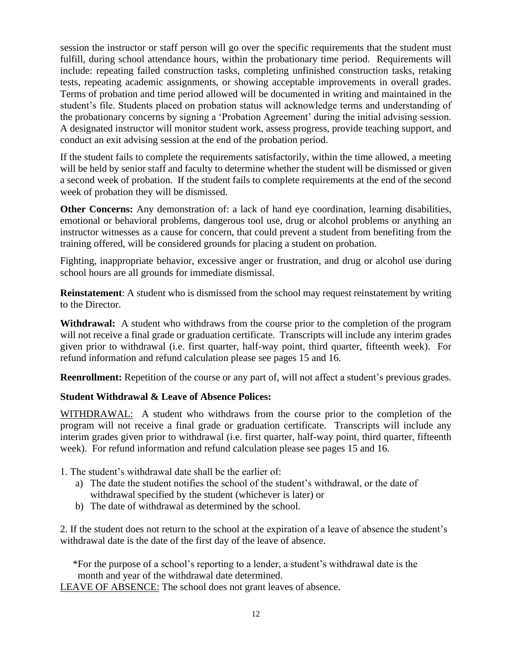session the instructor or staff person will go over the specific requirements that the student must fulfill, during school attendance hours, within the probationary time period. Requirements will include: repeating failed construction tasks, completing unfinished construction tasks, retaking tests, repeating academic assignments, or showing acceptable improvements in overall grades. Terms of probation and time period allowed will be documented in writing and maintained in the student's file. Students placed on probation status will acknowledge terms and understanding of the probationary concerns by signing a 'Probation Agreement' during the initial advising session. A designated instructor will monitor student work, assess progress, provide teaching support, and conduct an exit advising session at the end of the probation period.

If the student fails to complete the requirements satisfactorily, within the time allowed, a meeting will be held by senior staff and faculty to determine whether the student will be dismissed or given a second week of probation. If the student fails to complete requirements at the end of the second week of probation they will be dismissed.

**Other Concerns:** Any demonstration of: a lack of hand eye coordination, learning disabilities, emotional or behavioral problems, dangerous tool use, drug or alcohol problems or anything an instructor witnesses as a cause for concern, that could prevent a student from benefiting from the training offered, will be considered grounds for placing a student on probation.

Fighting, inappropriate behavior, excessive anger or frustration, and drug or alcohol use during school hours are all grounds for immediate dismissal.

**Reinstatement**: A student who is dismissed from the school may request reinstatement by writing to the Director.

**Withdrawal:** A student who withdraws from the course prior to the completion of the program will not receive a final grade or graduation certificate. Transcripts will include any interim grades given prior to withdrawal (i.e. first quarter, half-way point, third quarter, fifteenth week). For refund information and refund calculation please see pages 15 and 16.

**Reenrollment:** Repetition of the course or any part of, will not affect a student's previous grades.

#### **Student Withdrawal & Leave of Absence Polices:**

WITHDRAWAL: A student who withdraws from the course prior to the completion of the program will not receive a final grade or graduation certificate. Transcripts will include any interim grades given prior to withdrawal (i.e. first quarter, half-way point, third quarter, fifteenth week). For refund information and refund calculation please see pages 15 and 16.

- 1. The student's withdrawal date shall be the earlier of:
	- a) The date the student notifies the school of the student's withdrawal, or the date of withdrawal specified by the student (whichever is later) or
	- b) The date of withdrawal as determined by the school.

2. If the student does not return to the school at the expiration of a leave of absence the student's withdrawal date is the date of the first day of the leave of absence.

 \*For the purpose of a school's reporting to a lender, a student's withdrawal date is the month and year of the withdrawal date determined.

LEAVE OF ABSENCE: The school does not grant leaves of absence.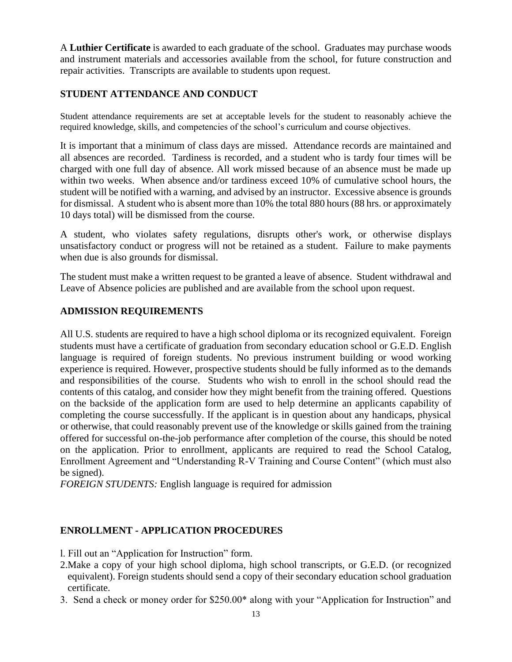A **Luthier Certificate** is awarded to each graduate of the school. Graduates may purchase woods and instrument materials and accessories available from the school, for future construction and repair activities. Transcripts are available to students upon request.

#### **STUDENT ATTENDANCE AND CONDUCT**

Student attendance requirements are set at acceptable levels for the student to reasonably achieve the required knowledge, skills, and competencies of the school's curriculum and course objectives.

It is important that a minimum of class days are missed. Attendance records are maintained and all absences are recorded. Tardiness is recorded, and a student who is tardy four times will be charged with one full day of absence. All work missed because of an absence must be made up within two weeks. When absence and/or tardiness exceed 10% of cumulative school hours, the student will be notified with a warning, and advised by an instructor. Excessive absence is grounds for dismissal. A student who is absent more than 10% the total 880 hours (88 hrs. or approximately 10 days total) will be dismissed from the course.

A student, who violates safety regulations, disrupts other's work, or otherwise displays unsatisfactory conduct or progress will not be retained as a student. Failure to make payments when due is also grounds for dismissal.

The student must make a written request to be granted a leave of absence. Student withdrawal and Leave of Absence policies are published and are available from the school upon request.

#### **ADMISSION REQUIREMENTS**

All U.S. students are required to have a high school diploma or its recognized equivalent. Foreign students must have a certificate of graduation from secondary education school or G.E.D. English language is required of foreign students. No previous instrument building or wood working experience is required. However, prospective students should be fully informed as to the demands and responsibilities of the course. Students who wish to enroll in the school should read the contents of this catalog, and consider how they might benefit from the training offered. Questions on the backside of the application form are used to help determine an applicants capability of completing the course successfully. If the applicant is in question about any handicaps, physical or otherwise, that could reasonably prevent use of the knowledge or skills gained from the training offered for successful on-the-job performance after completion of the course, this should be noted on the application. Prior to enrollment, applicants are required to read the School Catalog, Enrollment Agreement and "Understanding R-V Training and Course Content" (which must also be signed).

*FOREIGN STUDENTS:* English language is required for admission

#### **ENROLLMENT - APPLICATION PROCEDURES**

- l. Fill out an "Application for Instruction" form.
- 2.Make a copy of your high school diploma, high school transcripts, or G.E.D. (or recognized equivalent). Foreign students should send a copy of their secondary education school graduation certificate.
- 3. Send a check or money order for \$250.00\* along with your "Application for Instruction" and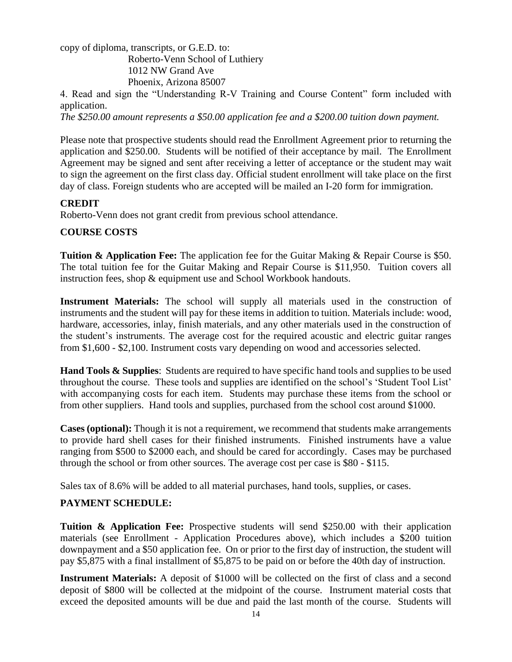copy of diploma, transcripts, or G.E.D. to:

 Roberto-Venn School of Luthiery 1012 NW Grand Ave Phoenix, Arizona 85007

4. Read and sign the "Understanding R-V Training and Course Content" form included with application.

*The \$250.00 amount represents a \$50.00 application fee and a \$200.00 tuition down payment.*

Please note that prospective students should read the Enrollment Agreement prior to returning the application and \$250.00. Students will be notified of their acceptance by mail. The Enrollment Agreement may be signed and sent after receiving a letter of acceptance or the student may wait to sign the agreement on the first class day. Official student enrollment will take place on the first day of class. Foreign students who are accepted will be mailed an I-20 form for immigration.

#### **CREDIT**

Roberto-Venn does not grant credit from previous school attendance.

#### **COURSE COSTS**

**Tuition & Application Fee:** The application fee for the Guitar Making & Repair Course is \$50. The total tuition fee for the Guitar Making and Repair Course is \$11,950. Tuition covers all instruction fees, shop & equipment use and School Workbook handouts.

**Instrument Materials:** The school will supply all materials used in the construction of instruments and the student will pay for these items in addition to tuition. Materials include: wood, hardware, accessories, inlay, finish materials, and any other materials used in the construction of the student's instruments. The average cost for the required acoustic and electric guitar ranges from \$1,600 - \$2,100. Instrument costs vary depending on wood and accessories selected.

**Hand Tools & Supplies**: Students are required to have specific hand tools and supplies to be used throughout the course. These tools and supplies are identified on the school's 'Student Tool List' with accompanying costs for each item. Students may purchase these items from the school or from other suppliers. Hand tools and supplies, purchased from the school cost around \$1000.

**Cases (optional):** Though it is not a requirement, we recommend that students make arrangements to provide hard shell cases for their finished instruments. Finished instruments have a value ranging from \$500 to \$2000 each, and should be cared for accordingly. Cases may be purchased through the school or from other sources. The average cost per case is \$80 - \$115.

Sales tax of 8.6% will be added to all material purchases, hand tools, supplies, or cases.

# **PAYMENT SCHEDULE:**

**Tuition & Application Fee:** Prospective students will send \$250.00 with their application materials (see Enrollment - Application Procedures above), which includes a \$200 tuition downpayment and a \$50 application fee. On or prior to the first day of instruction, the student will pay \$5,875 with a final installment of \$5,875 to be paid on or before the 40th day of instruction.

**Instrument Materials:** A deposit of \$1000 will be collected on the first of class and a second deposit of \$800 will be collected at the midpoint of the course. Instrument material costs that exceed the deposited amounts will be due and paid the last month of the course. Students will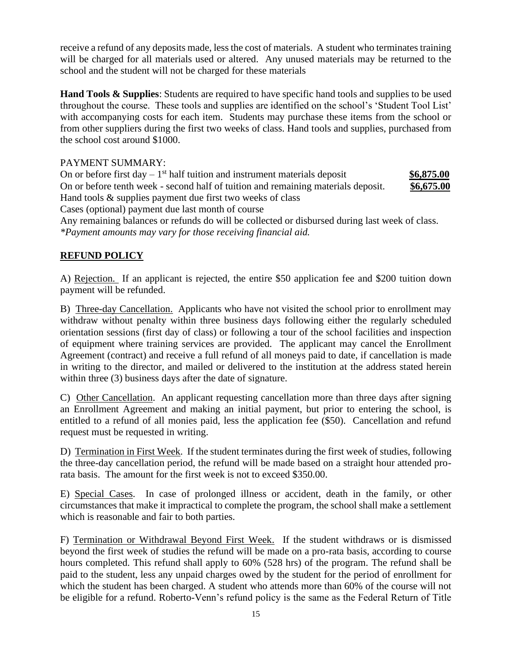receive a refund of any deposits made, less the cost of materials. A student who terminates training will be charged for all materials used or altered. Any unused materials may be returned to the school and the student will not be charged for these materials

**Hand Tools & Supplies**: Students are required to have specific hand tools and supplies to be used throughout the course. These tools and supplies are identified on the school's 'Student Tool List' with accompanying costs for each item. Students may purchase these items from the school or from other suppliers during the first two weeks of class. Hand tools and supplies, purchased from the school cost around \$1000.

#### PAYMENT SUMMARY:

On or before first day  $-1$ <sup>st</sup> half tuition and instrument materials deposit \$6,875.00 On or before tenth week - second half of tuition and remaining materials deposit. **\$6,675.00** Hand tools & supplies payment due first two weeks of class Cases (optional) payment due last month of course Any remaining balances or refunds do will be collected or disbursed during last week of class. *\*Payment amounts may vary for those receiving financial aid.*

# **REFUND POLICY**

A) Rejection. If an applicant is rejected, the entire \$50 application fee and \$200 tuition down payment will be refunded.

B) Three-day Cancellation. Applicants who have not visited the school prior to enrollment may withdraw without penalty within three business days following either the regularly scheduled orientation sessions (first day of class) or following a tour of the school facilities and inspection of equipment where training services are provided. The applicant may cancel the Enrollment Agreement (contract) and receive a full refund of all moneys paid to date, if cancellation is made in writing to the director, and mailed or delivered to the institution at the address stated herein within three (3) business days after the date of signature.

C) Other Cancellation. An applicant requesting cancellation more than three days after signing an Enrollment Agreement and making an initial payment, but prior to entering the school, is entitled to a refund of all monies paid, less the application fee (\$50). Cancellation and refund request must be requested in writing.

D) Termination in First Week. If the student terminates during the first week of studies, following the three-day cancellation period, the refund will be made based on a straight hour attended prorata basis. The amount for the first week is not to exceed \$350.00.

E) Special Cases. In case of prolonged illness or accident, death in the family, or other circumstances that make it impractical to complete the program, the school shall make a settlement which is reasonable and fair to both parties.

F) Termination or Withdrawal Beyond First Week. If the student withdraws or is dismissed beyond the first week of studies the refund will be made on a pro-rata basis, according to course hours completed. This refund shall apply to 60% (528 hrs) of the program. The refund shall be paid to the student, less any unpaid charges owed by the student for the period of enrollment for which the student has been charged. A student who attends more than 60% of the course will not be eligible for a refund. Roberto-Venn's refund policy is the same as the Federal Return of Title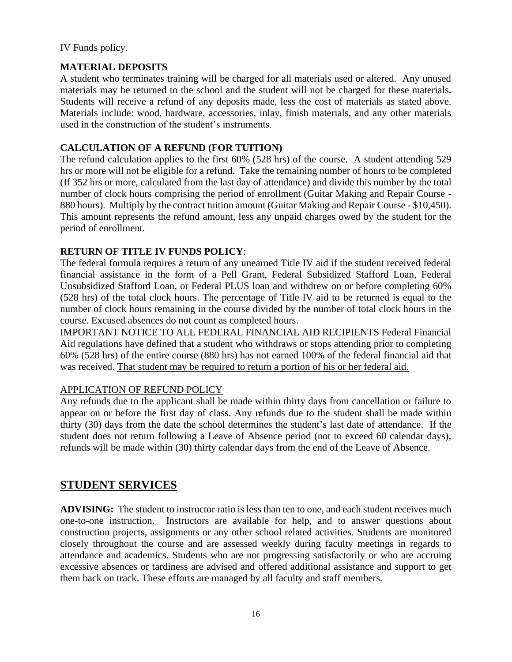IV Funds policy.

#### **MATERIAL DEPOSITS**

A student who terminates training will be charged for all materials used or altered. Any unused materials may be returned to the school and the student will not be charged for these materials. Students will receive a refund of any deposits made, less the cost of materials as stated above. Materials include: wood, hardware, accessories, inlay, finish materials, and any other materials used in the construction of the student's instruments.

#### **CALCULATION OF A REFUND (FOR TUITION)**

The refund calculation applies to the first 60% (528 hrs) of the course. A student attending 529 hrs or more will not be eligible for a refund. Take the remaining number of hours to be completed (If 352 hrs or more, calculated from the last day of attendance) and divide this number by the total number of clock hours comprising the period of enrollment (Guitar Making and Repair Course - 880 hours). Multiply by the contract tuition amount (Guitar Making and Repair Course - \$10,450). This amount represents the refund amount, less any unpaid charges owed by the student for the period of enrollment.

#### **RETURN OF TITLE IV FUNDS POLICY**:

The federal formula requires a return of any unearned Title IV aid if the student received federal financial assistance in the form of a Pell Grant, Federal Subsidized Stafford Loan, Federal Unsubsidized Stafford Loan, or Federal PLUS loan and withdrew on or before completing 60% (528 hrs) of the total clock hours. The percentage of Title IV aid to be returned is equal to the number of clock hours remaining in the course divided by the number of total clock hours in the course. Excused absences do not count as completed hours.

IMPORTANT NOTICE TO ALL FEDERAL FINANCIAL AID RECIPIENTS Federal Financial Aid regulations have defined that a student who withdraws or stops attending prior to completing 60% (528 hrs) of the entire course (880 hrs) has not earned 100% of the federal financial aid that was received. That student may be required to return a portion of his or her federal aid.

#### APPLICATION OF REFUND POLICY

Any refunds due to the applicant shall be made within thirty days from cancellation or failure to appear on or before the first day of class. Any refunds due to the student shall be made within thirty (30) days from the date the school determines the student's last date of attendance. If the student does not return following a Leave of Absence period (not to exceed 60 calendar days), refunds will be made within (30) thirty calendar days from the end of the Leave of Absence.

# **STUDENT SERVICES**

**ADVISING:** The student to instructor ratio is less than ten to one, and each student receives much one-to-one instruction. Instructors are available for help, and to answer questions about construction projects, assignments or any other school related activities. Students are monitored closely throughout the course and are assessed weekly during faculty meetings in regards to attendance and academics. Students who are not progressing satisfactorily or who are accruing excessive absences or tardiness are advised and offered additional assistance and support to get them back on track. These efforts are managed by all faculty and staff members.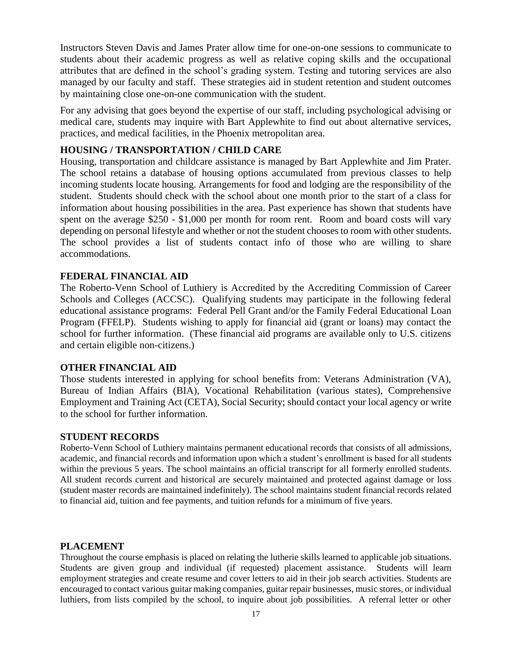Instructors Steven Davis and James Prater allow time for one-on-one sessions to communicate to students about their academic progress as well as relative coping skills and the occupational attributes that are defined in the school's grading system. Testing and tutoring services are also managed by our faculty and staff. These strategies aid in student retention and student outcomes by maintaining close one-on-one communication with the student.

For any advising that goes beyond the expertise of our staff, including psychological advising or medical care, students may inquire with Bart Applewhite to find out about alternative services, practices, and medical facilities, in the Phoenix metropolitan area.

#### **HOUSING / TRANSPORTATION / CHILD CARE**

Housing, transportation and childcare assistance is managed by Bart Applewhite and Jim Prater. The school retains a database of housing options accumulated from previous classes to help incoming students locate housing. Arrangements for food and lodging are the responsibility of the student. Students should check with the school about one month prior to the start of a class for information about housing possibilities in the area. Past experience has shown that students have spent on the average \$250 - \$1,000 per month for room rent. Room and board costs will vary depending on personal lifestyle and whether or not the student chooses to room with other students. The school provides a list of students contact info of those who are willing to share accommodations.

#### **FEDERAL FINANCIAL AID**

The Roberto-Venn School of Luthiery is Accredited by the Accrediting Commission of Career Schools and Colleges (ACCSC). Qualifying students may participate in the following federal educational assistance programs: Federal Pell Grant and/or the Family Federal Educational Loan Program (FFELP). Students wishing to apply for financial aid (grant or loans) may contact the school for further information. (These financial aid programs are available only to U.S. citizens and certain eligible non-citizens.)

#### **OTHER FINANCIAL AID**

Those students interested in applying for school benefits from: Veterans Administration (VA), Bureau of Indian Affairs (BIA), Vocational Rehabilitation (various states), Comprehensive Employment and Training Act (CETA), Social Security; should contact your local agency or write to the school for further information.

#### **STUDENT RECORDS**

Roberto-Venn School of Luthiery maintains permanent educational records that consists of all admissions, academic, and financial records and information upon which a student's enrollment is based for all students within the previous 5 years. The school maintains an official transcript for all formerly enrolled students. All student records current and historical are securely maintained and protected against damage or loss (student master records are maintained indefinitely). The school maintains student financial records related to financial aid, tuition and fee payments, and tuition refunds for a minimum of five years.

#### **PLACEMENT**

Throughout the course emphasis is placed on relating the lutherie skills learned to applicable job situations. Students are given group and individual (if requested) placement assistance. Students will learn employment strategies and create resume and cover letters to aid in their job search activities. Students are encouraged to contact various guitar making companies, guitar repair businesses, music stores, or individual luthiers, from lists compiled by the school, to inquire about job possibilities. A referral letter or other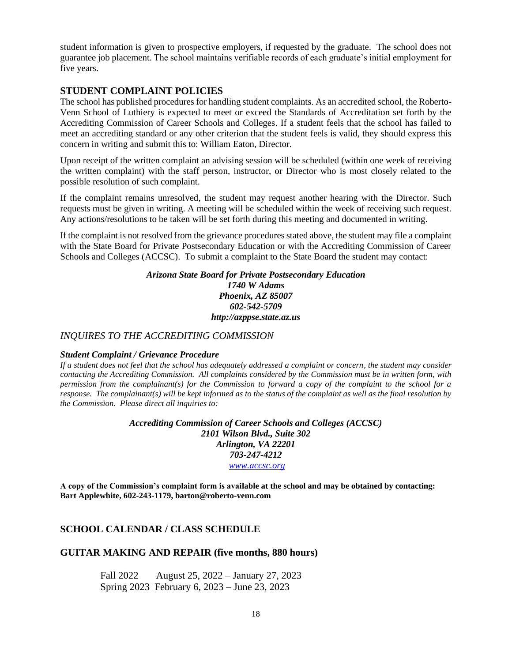student information is given to prospective employers, if requested by the graduate. The school does not guarantee job placement. The school maintains verifiable records of each graduate's initial employment for five years.

#### **STUDENT COMPLAINT POLICIES**

The school has published procedures for handling student complaints. As an accredited school, the Roberto-Venn School of Luthiery is expected to meet or exceed the Standards of Accreditation set forth by the Accrediting Commission of Career Schools and Colleges. If a student feels that the school has failed to meet an accrediting standard or any other criterion that the student feels is valid, they should express this concern in writing and submit this to: William Eaton, Director.

Upon receipt of the written complaint an advising session will be scheduled (within one week of receiving the written complaint) with the staff person, instructor, or Director who is most closely related to the possible resolution of such complaint.

If the complaint remains unresolved, the student may request another hearing with the Director. Such requests must be given in writing. A meeting will be scheduled within the week of receiving such request. Any actions/resolutions to be taken will be set forth during this meeting and documented in writing.

If the complaint is not resolved from the grievance procedures stated above, the student may file a complaint with the State Board for Private Postsecondary Education or with the Accrediting Commission of Career Schools and Colleges (ACCSC). To submit a complaint to the State Board the student may contact:

#### *Arizona State Board for Private Postsecondary Education 1740 W Adams Phoenix, AZ 85007 602-542-5709 http://azppse.state.az.us*

#### *INQUIRES TO THE ACCREDITING COMMISSION*

#### *Student Complaint / Grievance Procedure*

*If a student does not feel that the school has adequately addressed a complaint or concern, the student may consider contacting the Accrediting Commission. All complaints considered by the Commission must be in written form, with permission from the complainant(s) for the Commission to forward a copy of the complaint to the school for a response. The complainant(s) will be kept informed as to the status of the complaint as well as the final resolution by the Commission. Please direct all inquiries to:*

> *Accrediting Commission of Career Schools and Colleges (ACCSC) 2101 Wilson Blvd., Suite 302 Arlington, VA 22201 703-247-4212 [www.accsc.org](http://www.accsc.org/)*

**A copy of the Commission's complaint form is available at the school and may be obtained by contacting: Bart Applewhite, 602-243-1179, barton@roberto-venn.com**

#### **SCHOOL CALENDAR / CLASS SCHEDULE**

#### **GUITAR MAKING AND REPAIR (five months, 880 hours)**

Fall 2022 August 25, 2022 – January 27, 2023 Spring 2023 February 6, 2023 – June 23, 2023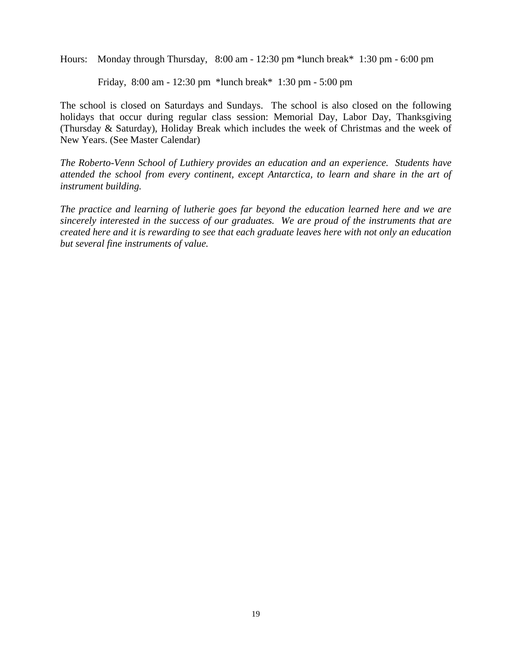Hours: Monday through Thursday, 8:00 am - 12:30 pm \*lunch break\* 1:30 pm - 6:00 pm

Friday, 8:00 am - 12:30 pm \*lunch break\* 1:30 pm - 5:00 pm

The school is closed on Saturdays and Sundays. The school is also closed on the following holidays that occur during regular class session: Memorial Day, Labor Day, Thanksgiving (Thursday & Saturday), Holiday Break which includes the week of Christmas and the week of New Years. (See Master Calendar)

*The Roberto-Venn School of Luthiery provides an education and an experience. Students have attended the school from every continent, except Antarctica, to learn and share in the art of instrument building.*

*The practice and learning of lutherie goes far beyond the education learned here and we are sincerely interested in the success of our graduates. We are proud of the instruments that are created here and it is rewarding to see that each graduate leaves here with not only an education but several fine instruments of value.*